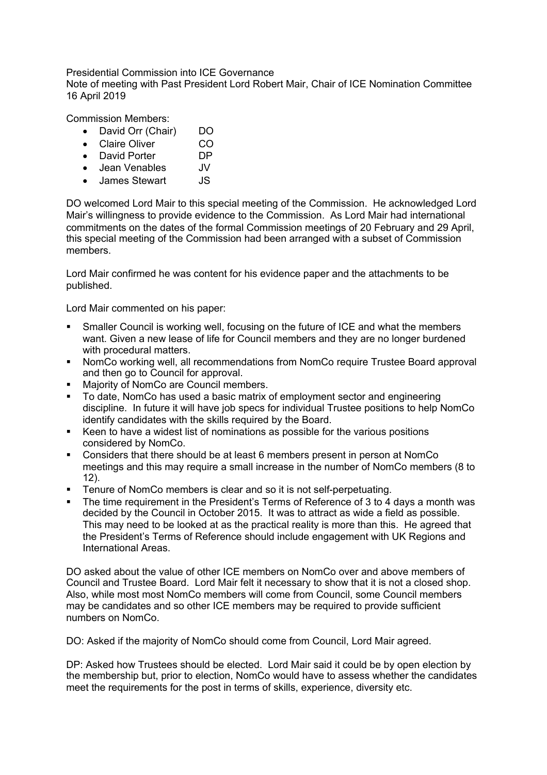Presidential Commission into ICE Governance

Note of meeting with Past President Lord Robert Mair, Chair of ICE Nomination Committee 16 April 2019

Commission Members:

- David Orr (Chair) DO
- Claire Oliver CO
- David Porter DP
- Jean Venables JV
- James Stewart JS

DO welcomed Lord Mair to this special meeting of the Commission. He acknowledged Lord Mair's willingness to provide evidence to the Commission. As Lord Mair had international commitments on the dates of the formal Commission meetings of 20 February and 29 April, this special meeting of the Commission had been arranged with a subset of Commission members.

Lord Mair confirmed he was content for his evidence paper and the attachments to be published.

Lord Mair commented on his paper:

- § Smaller Council is working well, focusing on the future of ICE and what the members want. Given a new lease of life for Council members and they are no longer burdened with procedural matters.
- NomCo working well, all recommendations from NomCo require Trustee Board approval and then go to Council for approval.
- Majority of NomCo are Council members.
- To date, NomCo has used a basic matrix of employment sector and engineering discipline. In future it will have job specs for individual Trustee positions to help NomCo identify candidates with the skills required by the Board.
- Keen to have a widest list of nominations as possible for the various positions considered by NomCo.
- § Considers that there should be at least 6 members present in person at NomCo meetings and this may require a small increase in the number of NomCo members (8 to 12).
- Tenure of NomCo members is clear and so it is not self-perpetuating.
- The time requirement in the President's Terms of Reference of 3 to 4 days a month was decided by the Council in October 2015. It was to attract as wide a field as possible. This may need to be looked at as the practical reality is more than this. He agreed that the President's Terms of Reference should include engagement with UK Regions and International Areas.

DO asked about the value of other ICE members on NomCo over and above members of Council and Trustee Board. Lord Mair felt it necessary to show that it is not a closed shop. Also, while most most NomCo members will come from Council, some Council members may be candidates and so other ICE members may be required to provide sufficient numbers on NomCo.

DO: Asked if the majority of NomCo should come from Council, Lord Mair agreed.

DP: Asked how Trustees should be elected. Lord Mair said it could be by open election by the membership but, prior to election, NomCo would have to assess whether the candidates meet the requirements for the post in terms of skills, experience, diversity etc.